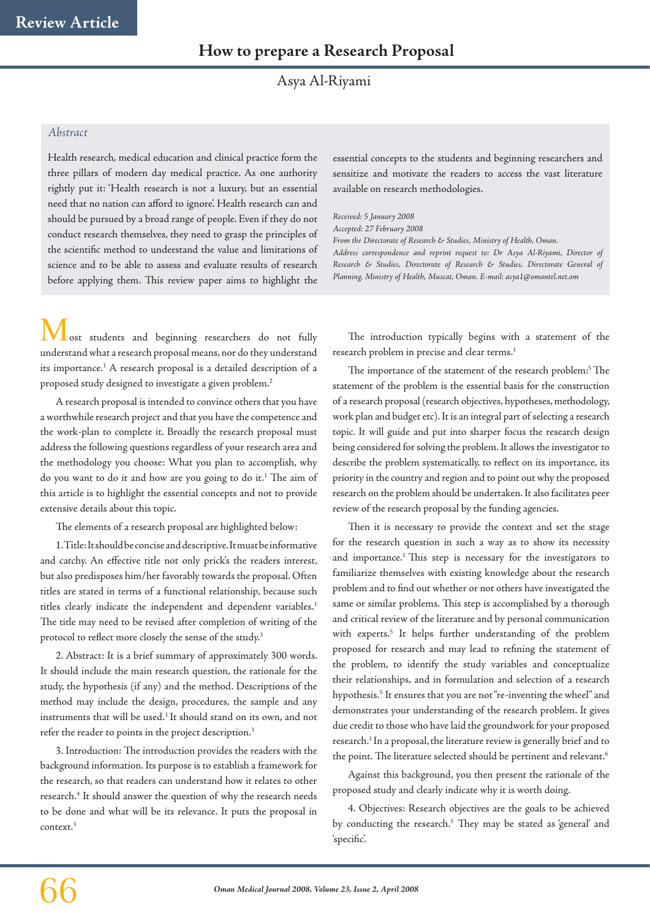Asya Al-Riyami

## *Abstract*

Health research, medical education and clinical practice form the three pillars of modern day medical practice. As one authority rightly put it: 'Health research is not a luxury, but an essential need that no nation can afford to ignore'. Health research can and should be pursued by a broad range of people. Even if they do not conduct research themselves, they need to grasp the principles of the scientific method to understand the value and limitations of science and to be able to assess and evaluate results of research before applying them. This review paper aims to highlight the

essential concepts to the students and beginning researchers and sensitize and motivate the readers to access the vast literature available on research methodologies.

*Received: 5 January 2008*

*Accepted: 27 February 2008*

*From the Directorate of Research & Studies, Ministry of Health, Oman.*

*Address correspondence and reprint request to: Dr Asya Al-Riyami, Director of Research & Studies, Directorate of Research & Studies, Directorate General of Planning, Ministry of Health, Muscat, Oman. E-mail: asya1@omantel.net.om*

Lost students and beginning researchers do not fully understand what a research proposal means, nor do they understand its importance.<sup>1</sup> A research proposal is a detailed description of a proposed study designed to investigate a given problem.2

A research proposal is intended to convince others that you have a worthwhile research project and that you have the competence and the work-plan to complete it. Broadly the research proposal must address the following questions regardless of your research area and the methodology you choose: What you plan to accomplish, why do you want to do it and how are you going to do it.1 The aim of this article is to highlight the essential concepts and not to provide extensive details about this topic.

The elements of a research proposal are highlighted below:

1. Title: It should be concise and descriptive. It must be informative and catchy. An effective title not only prick's the readers interest, but also predisposes him/her favorably towards the proposal. Often titles are stated in terms of a functional relationship, because such titles clearly indicate the independent and dependent variables.<sup>1</sup> The title may need to be revised after completion of writing of the protocol to reflect more closely the sense of the study.<sup>3</sup>

2. Abstract: It is a brief summary of approximately 300 words. It should include the main research question, the rationale for the study, the hypothesis (if any) and the method. Descriptions of the method may include the design, procedures, the sample and any instruments that will be used.<sup>1</sup> It should stand on its own, and not refer the reader to points in the project description.<sup>3</sup>

3. Introduction: The introduction provides the readers with the background information. Its purpose is to establish a framework for the research, so that readers can understand how it relates to other research.4 It should answer the question of why the research needs to be done and what will be its relevance. It puts the proposal in context.3

The introduction typically begins with a statement of the research problem in precise and clear terms.1

The importance of the statement of the research problem:<sup>5</sup> The statement of the problem is the essential basis for the construction of a research proposal (research objectives, hypotheses, methodology, work plan and budget etc). It is an integral part of selecting a research topic. It will guide and put into sharper focus the research design being considered for solving the problem. It allows the investigator to describe the problem systematically, to reflect on its importance, its priority in the country and region and to point out why the proposed research on the problem should be undertaken. It also facilitates peer review of the research proposal by the funding agencies.

Then it is necessary to provide the context and set the stage for the research question in such a way as to show its necessity and importance.<sup>1</sup> This step is necessary for the investigators to familiarize themselves with existing knowledge about the research problem and to find out whether or not others have investigated the same or similar problems. This step is accomplished by a thorough and critical review of the literature and by personal communication with experts.<sup>5</sup> It helps further understanding of the problem proposed for research and may lead to refining the statement of the problem, to identify the study variables and conceptualize their relationships, and in formulation and selection of a research hypothesis.<sup>5</sup> It ensures that you are not "re-inventing the wheel" and demonstrates your understanding of the research problem. It gives due credit to those who have laid the groundwork for your proposed research.<sup>1</sup> In a proposal, the literature review is generally brief and to the point. The literature selected should be pertinent and relevant.<sup>6</sup>

Against this background, you then present the rationale of the proposed study and clearly indicate why it is worth doing.

4. Objectives: Research objectives are the goals to be achieved by conducting the research.<sup>5</sup> They may be stated as 'general' and 'specific'.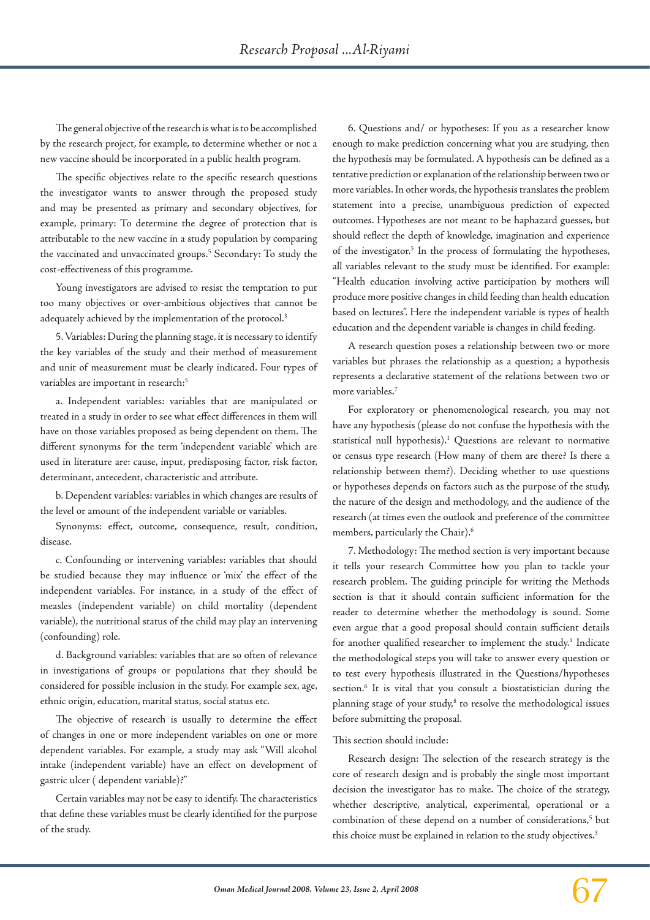The general objective of the research is what is to be accomplished by the research project, for example, to determine whether or not a new vaccine should be incorporated in a public health program.

The specific objectives relate to the specific research questions the investigator wants to answer through the proposed study and may be presented as primary and secondary objectives, for example, primary: To determine the degree of protection that is attributable to the new vaccine in a study population by comparing the vaccinated and unvaccinated groups.5 Secondary: To study the cost-effectiveness of this programme.

Young investigators are advised to resist the temptation to put too many objectives or over-ambitious objectives that cannot be adequately achieved by the implementation of the protocol.<sup>3</sup>

5. Variables: During the planning stage, it is necessary to identify the key variables of the study and their method of measurement and unit of measurement must be clearly indicated. Four types of variables are important in research:<sup>5</sup>

a. Independent variables: variables that are manipulated or treated in a study in order to see what effect differences in them will have on those variables proposed as being dependent on them. The different synonyms for the term 'independent variable' which are used in literature are: cause, input, predisposing factor, risk factor, determinant, antecedent, characteristic and attribute.

b. Dependent variables: variables in which changes are results of the level or amount of the independent variable or variables.

Synonyms: effect, outcome, consequence, result, condition, disease.

c. Confounding or intervening variables: variables that should be studied because they may influence or 'mix' the effect of the independent variables. For instance, in a study of the effect of measles (independent variable) on child mortality (dependent variable), the nutritional status of the child may play an intervening (confounding) role.

d. Background variables: variables that are so often of relevance in investigations of groups or populations that they should be considered for possible inclusion in the study. For example sex, age, ethnic origin, education, marital status, social status etc.

The objective of research is usually to determine the effect of changes in one or more independent variables on one or more dependent variables. For example, a study may ask "Will alcohol intake (independent variable) have an effect on development of gastric ulcer ( dependent variable)?"

Certain variables may not be easy to identify. The characteristics that define these variables must be clearly identified for the purpose of the study.

6. Questions and/ or hypotheses: If you as a researcher know enough to make prediction concerning what you are studying, then the hypothesis may be formulated. A hypothesis can be defined as a tentative prediction or explanation of the relationship between two or more variables. In other words, the hypothesis translates the problem statement into a precise, unambiguous prediction of expected outcomes. Hypotheses are not meant to be haphazard guesses, but should reflect the depth of knowledge, imagination and experience of the investigator.<sup>5</sup> In the process of formulating the hypotheses, all variables relevant to the study must be identified. For example: "Health education involving active participation by mothers will produce more positive changes in child feeding than health education based on lectures". Here the independent variable is types of health education and the dependent variable is changes in child feeding.

A research question poses a relationship between two or more variables but phrases the relationship as a question; a hypothesis represents a declarative statement of the relations between two or more variables.7

For exploratory or phenomenological research, you may not have any hypothesis (please do not confuse the hypothesis with the statistical null hypothesis).<sup>1</sup> Questions are relevant to normative or census type research (How many of them are there? Is there a relationship between them?). Deciding whether to use questions or hypotheses depends on factors such as the purpose of the study, the nature of the design and methodology, and the audience of the research (at times even the outlook and preference of the committee members, particularly the Chair).6

7. Methodology: The method section is very important because it tells your research Committee how you plan to tackle your research problem. The guiding principle for writing the Methods section is that it should contain sufficient information for the reader to determine whether the methodology is sound. Some even argue that a good proposal should contain sufficient details for another qualified researcher to implement the study.<sup>1</sup> Indicate the methodological steps you will take to answer every question or to test every hypothesis illustrated in the Questions/hypotheses section.<sup>6</sup> It is vital that you consult a biostatistician during the planning stage of your study,<sup>8</sup> to resolve the methodological issues before submitting the proposal.

## This section should include:

Research design: The selection of the research strategy is the core of research design and is probably the single most important decision the investigator has to make. The choice of the strategy, whether descriptive, analytical, experimental, operational or a combination of these depend on a number of considerations,<sup>5</sup> but this choice must be explained in relation to the study objectives.<sup>3</sup>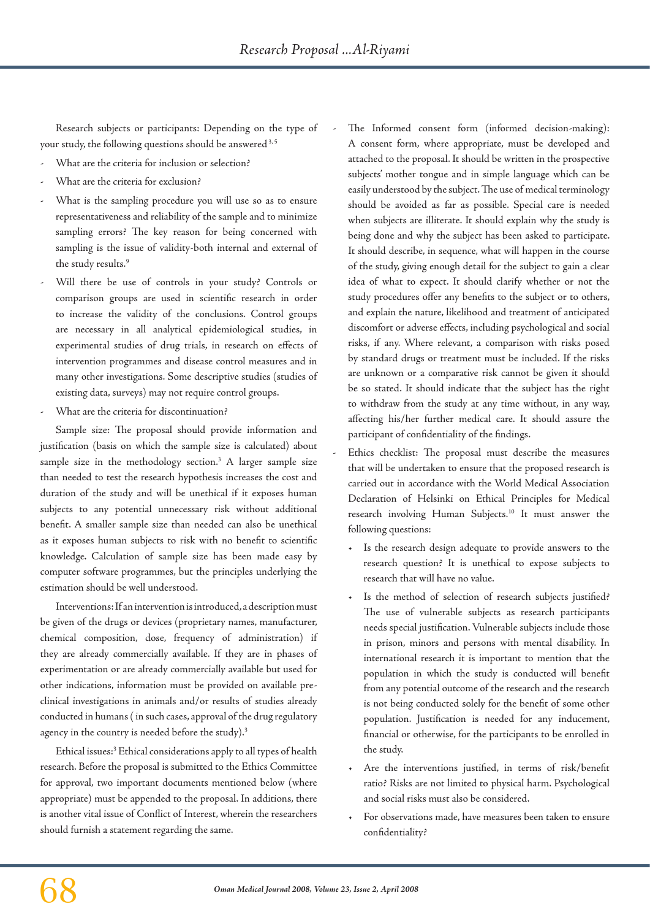Research subjects or participants: Depending on the type of your study, the following questions should be answered<sup>3,5</sup>

- What are the criteria for inclusion or selection?
- What are the criteria for exclusion?
- What is the sampling procedure you will use so as to ensure representativeness and reliability of the sample and to minimize sampling errors? The key reason for being concerned with sampling is the issue of validity-both internal and external of the study results.<sup>9</sup>
- Will there be use of controls in your study? Controls or comparison groups are used in scientific research in order to increase the validity of the conclusions. Control groups are necessary in all analytical epidemiological studies, in experimental studies of drug trials, in research on effects of intervention programmes and disease control measures and in many other investigations. Some descriptive studies (studies of existing data, surveys) may not require control groups.
- What are the criteria for discontinuation?

Sample size: The proposal should provide information and justification (basis on which the sample size is calculated) about sample size in the methodology section.<sup>3</sup> A larger sample size than needed to test the research hypothesis increases the cost and duration of the study and will be unethical if it exposes human subjects to any potential unnecessary risk without additional benefit. A smaller sample size than needed can also be unethical as it exposes human subjects to risk with no benefit to scientific knowledge. Calculation of sample size has been made easy by computer software programmes, but the principles underlying the estimation should be well understood.

Interventions: If an intervention is introduced, a description must be given of the drugs or devices (proprietary names, manufacturer, chemical composition, dose, frequency of administration) if they are already commercially available. If they are in phases of experimentation or are already commercially available but used for other indications, information must be provided on available preclinical investigations in animals and/or results of studies already conducted in humans ( in such cases, approval of the drug regulatory agency in the country is needed before the study).<sup>3</sup>

Ethical issues:<sup>3</sup> Ethical considerations apply to all types of health research. Before the proposal is submitted to the Ethics Committee for approval, two important documents mentioned below (where appropriate) must be appended to the proposal. In additions, there is another vital issue of Conflict of Interest, wherein the researchers should furnish a statement regarding the same.

The Informed consent form (informed decision-making): A consent form, where appropriate, must be developed and attached to the proposal. It should be written in the prospective subjects' mother tongue and in simple language which can be easily understood by the subject. The use of medical terminology should be avoided as far as possible. Special care is needed when subjects are illiterate. It should explain why the study is being done and why the subject has been asked to participate. It should describe, in sequence, what will happen in the course of the study, giving enough detail for the subject to gain a clear idea of what to expect. It should clarify whether or not the study procedures offer any benefits to the subject or to others, and explain the nature, likelihood and treatment of anticipated discomfort or adverse effects, including psychological and social risks, if any. Where relevant, a comparison with risks posed by standard drugs or treatment must be included. If the risks are unknown or a comparative risk cannot be given it should be so stated. It should indicate that the subject has the right to withdraw from the study at any time without, in any way, affecting his/her further medical care. It should assure the participant of confidentiality of the findings.

Ethics checklist: The proposal must describe the measures that will be undertaken to ensure that the proposed research is carried out in accordance with the World Medical Association Declaration of Helsinki on Ethical Principles for Medical research involving Human Subjects.10 It must answer the following questions:

- • Is the research design adequate to provide answers to the research question? It is unethical to expose subjects to research that will have no value.
- Is the method of selection of research subjects justified? The use of vulnerable subjects as research participants needs special justification. Vulnerable subjects include those in prison, minors and persons with mental disability. In international research it is important to mention that the population in which the study is conducted will benefit from any potential outcome of the research and the research is not being conducted solely for the benefit of some other population. Justification is needed for any inducement, financial or otherwise, for the participants to be enrolled in the study.
- Are the interventions justified, in terms of risk/benefit ratio? Risks are not limited to physical harm. Psychological and social risks must also be considered.
- For observations made, have measures been taken to ensure confidentiality?